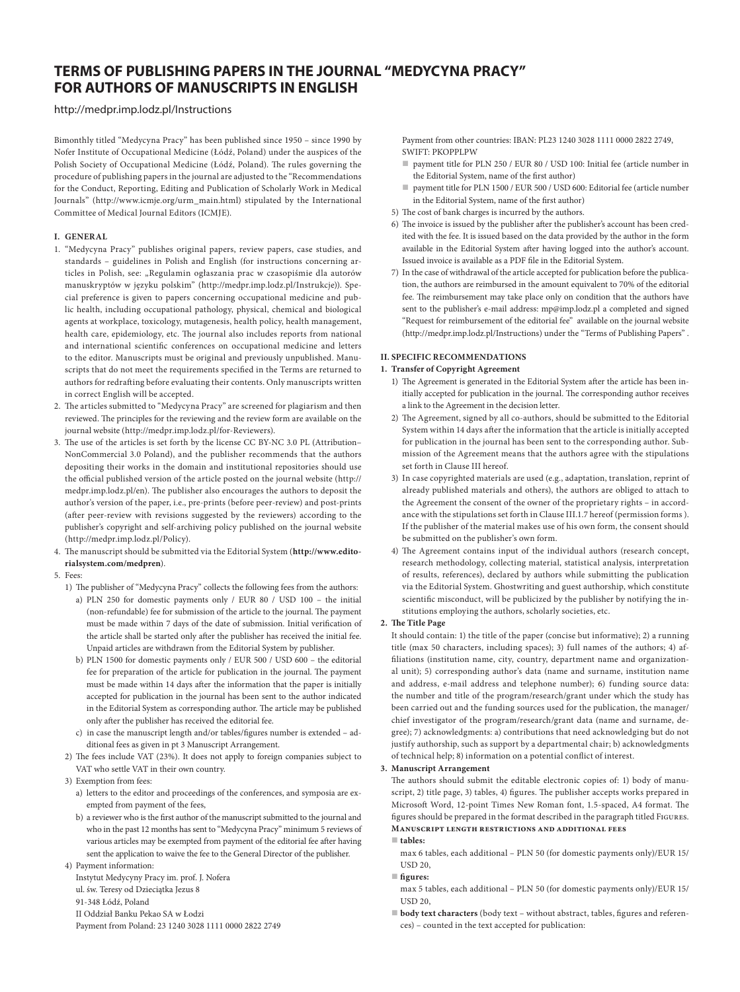# **TERMS OF PUBLISHING PAPERS IN THE JOURNAL "MEDYCYNA PRACY" FOR AUTHORS OF MANUSCRIPTS IN ENGLISH**

# <http://medpr.imp.lodz.pl/Instructions>

Bimonthly titled "Medycyna Pracy" has been published since 1950 – since 1990 by Nofer Institute of Occupational Medicine (Łódź, Poland) under the auspices of the Polish Society of Occupational Medicine (Łódź, Poland). The rules governing the procedure of publishing papers in the journal are adjusted to the "Recommendations for the Conduct, Reporting, Editing and Publication of Scholarly Work in Medical Journals" [\(http://www.icmje.org/urm\\_main.html](http://www.icmje.org/urm_main.html)) stipulated by the International Committee of Medical Journal Editors (ICMJE).

## **I. GENERAL**

- 1. "Medycyna Pracy" publishes original papers, review papers, case studies, and standards – guidelines in Polish and English (for instructions concerning articles in Polish, see: "Regulamin ogłaszania prac w czasopiśmie dla autorów manuskryptów w języku polskim" [\(http://medpr.imp.lodz.pl/Instrukcje\)](http://medpr.imp.lodz.pl/Instrukcje)). Special preference is given to papers concerning occupational medicine and public health, including occupational pathology, physical, chemical and biological agents at workplace, toxicology, mutagenesis, health policy, health management, health care, epidemiology, etc. The journal also includes reports from national and international scientific conferences on occupational medicine and letters to the editor. Manuscripts must be original and previously unpublished. Manuscripts that do not meet the requirements specified in the Terms are returned to authors for redrafting before evaluating their contents. Only manuscripts written in correct English will be accepted.
- 2. The articles submitted to "Medycyna Pracy" are screened for plagiarism and then reviewed. The principles for the reviewing and the review form are available on the journal website [\(http://medpr.imp.lodz.pl/for-Reviewers](http://medpr.imp.lodz.pl/for-Reviewers)).
- 3. The use of the articles is set forth by the license CC BY-NC 3.0 PL (Attribution– NonCommercial 3.0 Poland), and the publisher recommends that the authors depositing their works in the domain and institutional repositories should use the official published version of the article posted on the journal website ([http://](http://medpr.imp.lodz.pl/en) [medpr.imp.lodz.pl/en\)](http://medpr.imp.lodz.pl/en). The publisher also encourages the authors to deposit the author's version of the paper, i.e., pre-prints (before peer-review) and post-prints (after peer-review with revisions suggested by the reviewers) according to the publisher's copyright and self-archiving policy published on the journal website (http://medpr.imp.lodz.pl/Policy).
- 4. The manuscript should be submitted via the Editorial System (**[http://www.edito](http://www.editorialsystem.com/medpren)[rialsystem.com/medpren](http://www.editorialsystem.com/medpren)**).

#### 5. Fees:

- 1) The publisher of "Medycyna Pracy" collects the following fees from the authors:
	- a) PLN 250 for domestic payments only / EUR 80 / USD 100 the initial (non-refundable) fee for submission of the article to the journal. The payment must be made within 7 days of the date of submission. Initial verification of the article shall be started only after the publisher has received the initial fee. Unpaid articles are withdrawn from the Editorial System by publisher.
	- b) PLN 1500 for domestic payments only / EUR 500 / USD 600 the editorial fee for preparation of the article for publication in the journal. The payment must be made within 14 days after the information that the paper is initially accepted for publication in the journal has been sent to the author indicated in the Editorial System as corresponding author. The article may be published only after the publisher has received the editorial fee.
	- c) in case the manuscript length and/or tables/figures number is extended additional fees as given in pt 3 Manuscript Arrangement.
- 2) The fees include VAT (23%). It does not apply to foreign companies subject to VAT who settle VAT in their own country.
- 3) Exemption from fees:
	- a) letters to the editor and proceedings of the conferences, and symposia are exempted from payment of the fees,
	- b) a reviewer who is the first author of the manuscript submitted to the journal and who in the past 12 months has sent to "Medycyna Pracy" minimum 5 reviews of various articles may be exempted from payment of the editorial fee after having sent the application to waive the fee to the General Director of the publisher.

4) Payment information: Instytut Medycyny Pracy im. prof. J. Nofera ul. św. Teresy od Dzieciątka Jezus 8 91-348 Łódź, Poland II Oddział Banku Pekao SA w Łodzi

Payment from Poland: 23 1240 3028 1111 0000 2822 2749

Payment from other countries: IBAN: PL23 1240 3028 1111 0000 2822 2749, SWIFT: PKOPPLPW

- payment title for PLN 250 / EUR 80 / USD 100: Initial fee (article number in the Editorial System, name of the first author)
- payment title for PLN 1500 / EUR 500 / USD 600: Editorial fee (article number in the Editorial System, name of the first author)
- 5) The cost of bank charges is incurred by the authors.
- 6) The invoice is issued by the publisher after the publisher's account has been credited with the fee. It is issued based on the data provided by the author in the form available in the Editorial System after having logged into the author's account. Issued invoice is available as a PDF file in the Editorial System.
- 7) In the case of withdrawal of the article accepted for publication before the publication, the authors are reimbursed in the amount equivalent to 70% of the editorial fee. The reimbursement may take place only on condition that the authors have sent to the publisher's e-mail address: [mp@imp.lodz.pl](mailto:mp@imp.lodz.pl) a completed and signed "Request for reimbursement of the editorial fee" available on the journal website [\(http://medpr.imp.lodz.pl/Instructions\)](http://medpr.imp.lodz.pl/Instructions) under the "Terms of Publishing Papers" .

# **II. SPECIFIC RECOMMENDATIONS**

#### **1. Transfer of Copyright Agreement**

- 1) The Agreement is generated in the Editorial System after the article has been initially accepted for publication in the journal. The corresponding author receives a link to the Agreement in the decision letter.
- 2) The Agreement, signed by all co-authors, should be submitted to the Editorial System within 14 days after the information that the article is initially accepted for publication in the journal has been sent to the corresponding author. Submission of the Agreement means that the authors agree with the stipulations set forth in Clause III hereof.
- 3) In case copyrighted materials are used (e.g., adaptation, translation, reprint of already published materials and others), the authors are obliged to attach to the Agreement the consent of the owner of the proprietary rights – in accordance with the stipulations set forth in Clause III.1.7 hereof (permission forms ). If the publisher of the material makes use of his own form, the consent should be submitted on the publisher's own form.
- 4) The Agreement contains input of the individual authors (research concept, research methodology, collecting material, statistical analysis, interpretation of results, references), declared by authors while submitting the publication via the Editorial System. Ghostwriting and guest authorship, which constitute scientific misconduct, will be publicized by the publisher by notifying the institutions employing the authors, scholarly societies, etc.

## **2. The Title Page**

It should contain: 1) the title of the paper (concise but informative); 2) a running title (max 50 characters, including spaces); 3) full names of the authors; 4) affiliations (institution name, city, country, department name and organizational unit); 5) corresponding author's data (name and surname, institution name and address, e-mail address and telephone number); 6) funding source data: the number and title of the program/research/grant under which the study has been carried out and the funding sources used for the publication, the manager/ chief investigator of the program/research/grant data (name and surname, degree); 7) acknowledgments: a) contributions that need acknowledging but do not justify authorship, such as support by a departmental chair; b) acknowledgments of technical help; 8) information on a potential conflict of interest.

#### **3. Manuscript Arrangement**

The authors should submit the editable electronic copies of: 1) body of manuscript, 2) title page, 3) tables, 4) figures. The publisher accepts works prepared in Microsoft Word, 12-point Times New Roman font, 1.5-spaced, A4 format. The figures should be prepared in the format described in the paragraph titled Figures. **Manuscript length restrictions and additional fees**

#### **tables:**

max 6 tables, each additional – PLN 50 (for domestic payments only)/EUR 15/ USD 20,

#### **figures:**

- max 5 tables, each additional PLN 50 (for domestic payments only)/EUR 15/ USD 20,
- **body text characters** (body text without abstract, tables, figures and references) – counted in the text accepted for publication: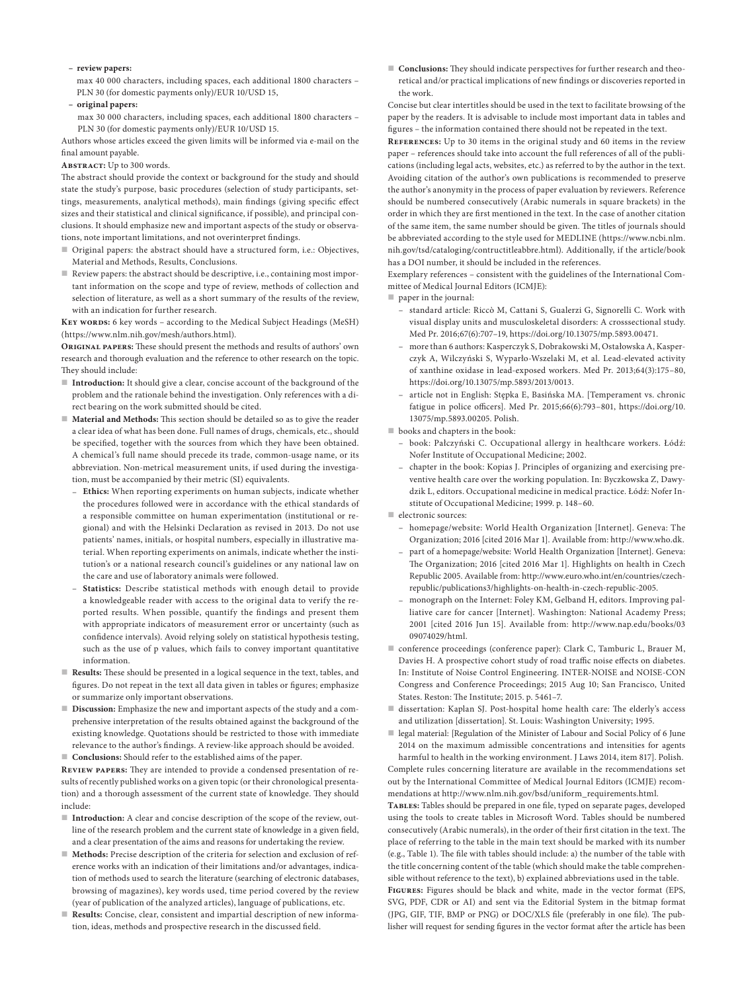**– review papers:**

max 40 000 characters, including spaces, each additional 1800 characters – PLN 30 (for domestic payments only)/EUR 10/USD 15,

- **original papers:**
- max 30 000 characters, including spaces, each additional 1800 characters PLN 30 (for domestic payments only)/EUR 10/USD 15.

Authors whose articles exceed the given limits will be informed via e-mail on the final amount payable.

**Abstract:** Up to 300 words.

The abstract should provide the context or background for the study and should state the study's purpose, basic procedures (selection of study participants, settings, measurements, analytical methods), main findings (giving specific effect sizes and their statistical and clinical significance, if possible), and principal conclusions. It should emphasize new and important aspects of the study or observations, note important limitations, and not overinterpret findings.

- Original papers: the abstract should have a structured form, i.e.: Objectives, Material and Methods, Results, Conclusions.
- Review papers: the abstract should be descriptive, i.e., containing most important information on the scope and type of review, methods of collection and selection of literature, as well as a short summary of the results of the review, with an indication for further research.

**Key words:** 6 key words – according to the Medical Subject Headings (MeSH) (https://www.nlm.nih.gov/mesh/authors.html).

**Original papers:** These should present the methods and results of authors' own research and thorough evaluation and the reference to other research on the topic. They should include:

- **Introduction:** It should give a clear, concise account of the background of the problem and the rationale behind the investigation. Only references with a direct bearing on the work submitted should be cited.
- **Material and Methods:** This section should be detailed so as to give the reader a clear idea of what has been done. Full names of drugs, chemicals, etc., should be specified, together with the sources from which they have been obtained. A chemical's full name should precede its trade, common-usage name, or its abbreviation. Non-metrical measurement units, if used during the investigation, must be accompanied by their metric (SI) equivalents.
	- **Ethics:** When reporting experiments on human subjects, indicate whether the procedures followed were in accordance with the ethical standards of a responsible committee on human experimentation (institutional or regional) and with the Helsinki Declaration as revised in 2013. Do not use patients' names, initials, or hospital numbers, especially in illustrative material. When reporting experiments on animals, indicate whether the institution's or a national research council's guidelines or any national law on the care and use of laboratory animals were followed.
	- **Statistics:** Describe statistical methods with enough detail to provide a knowledgeable reader with access to the original data to verify the reported results. When possible, quantify the findings and present them with appropriate indicators of measurement error or uncertainty (such as confidence intervals). Avoid relying solely on statistical hypothesis testing, such as the use of p values, which fails to convey important quantitative information.
- **Results:** These should be presented in a logical sequence in the text, tables, and figures. Do not repeat in the text all data given in tables or figures; emphasize or summarize only important observations.
- **Discussion:** Emphasize the new and important aspects of the study and a comprehensive interpretation of the results obtained against the background of the existing knowledge. Quotations should be restricted to those with immediate relevance to the author's findings. A review-like approach should be avoided.
- **Conclusions:** Should refer to the established aims of the paper.

**Review papers:** They are intended to provide a condensed presentation of results of recently published works on a given topic (or their chronological presentation) and a thorough assessment of the current state of knowledge. They should include:

- **Introduction:** A clear and concise description of the scope of the review, outline of the research problem and the current state of knowledge in a given field, and a clear presentation of the aims and reasons for undertaking the review.
- **Methods:** Precise description of the criteria for selection and exclusion of reference works with an indication of their limitations and/or advantages, indication of methods used to search the literature (searching of electronic databases, browsing of magazines), key words used, time period covered by the review (year of publication of the analyzed articles), language of publications, etc.
- **Results:** Concise, clear, consistent and impartial description of new information, ideas, methods and prospective research in the discussed field.

 **Conclusions:** They should indicate perspectives for further research and theoretical and/or practical implications of new findings or discoveries reported in the work.

Concise but clear intertitles should be used in the text to facilitate browsing of the paper by the readers. It is advisable to include most important data in tables and figures – the information contained there should not be repeated in the text.

**References:** Up to 30 items in the original study and 60 items in the review paper – references should take into account the full references of all of the publications (including legal acts, websites, etc.) as referred to by the author in the text. Avoiding citation of the author's own publications is recommended to preserve the author's anonymity in the process of paper evaluation by reviewers. Reference should be numbered consecutively (Arabic numerals in square brackets) in the order in which they are first mentioned in the text. In the case of another citation of the same item, the same number should be given. The titles of journals should be abbreviated according to the style used for MEDLINE (https://www.ncbi.nlm. nih.gov/tsd/cataloging/contructitleabbre.html). Additionally, if the article/book has a DOI number, it should be included in the references.

Exemplary references – consistent with the guidelines of the International Committee of Medical Journal Editors (ICMJE):

- paper in the journal:
	- standard article: Riccò M, Cattani S, Gualerzi G, Signorelli C. Work with visual display units and musculoskeletal disorders: A crosssectional study. Med Pr. 2016;67(6):707–19, [https://doi.org/10.13075/mp.5893.00471.](https://doi.org/10.13075/mp.5893.00471)
	- more than 6 authors: Kasperczyk S, Dobrakowski M, Ostałowska A, Kasperczyk A, Wilczyński S, Wyparło-Wszelaki M, et al. Lead-elevated activity of xanthine oxidase in lead-exposed workers. Med Pr. 2013;64(3):175–80, <https://doi.org/10.13075/mp.5893/2013/0013>.
	- article not in English: Stępka E, Basińska MA. [Temperament vs. chronic fatigue in police officers]. Med Pr. 2015;66(6):793–801, [https://doi.org/10.](https://doi.org/10.13075/mp.5893.00205) [13075/mp.5893.00205.](https://doi.org/10.13075/mp.5893.00205) Polish.
- **books** and chapters in the book:
	- book: Pałczyński C. Occupational allergy in healthcare workers. Łódź: Nofer Institute of Occupational Medicine; 2002.
	- chapter in the book: Kopias J. Principles of organizing and exercising preventive health care over the working population. In: Byczkowska Z, Dawydzik L, editors. Occupational medicine in medical practice. Łódź: Nofer Institute of Occupational Medicine; 1999. p. 148–60.

electronic sources:

- homepage/website: World Health Organization [Internet]. Geneva: The Organization; 2016 [cited 2016 Mar 1]. Available from: <http://www.who.dk>.
- part of a homepage/website: World Health Organization [Internet]. Geneva: The Organization; 2016 [cited 2016 Mar 1]. Highlights on health in Czech Republic 2005. Available from: [http://www.euro.who.int/en/countries/czech](http://www.euro.who.int/en/countries/czech-republic/publications3/highlights-on-health-in-czech-republic-2005)[republic/publications3/highlights-on-health-in-czech-republic-2005.](http://www.euro.who.int/en/countries/czech-republic/publications3/highlights-on-health-in-czech-republic-2005)
- monograph on the Internet: Foley KM, Gelband H, editors. Improving palliative care for cancer [Internet]. Washington: National Academy Press; 2001 [cited 2016 Jun 15]. Available from: [http://www.nap.edu/books/03](http://www.nap.edu/books/0309074029/html) [09074029/html.](http://www.nap.edu/books/0309074029/html)
- conference proceedings (conference paper): Clark C, Tamburic L, Brauer M, Davies H. A prospective cohort study of road traffic noise effects on diabetes. In: Institute of Noise Control Engineering. INTER-NOISE and NOISE-CON Congress and Conference Proceedings; 2015 Aug 10; San Francisco, United States. Reston: The Institute; 2015. p. 5461–7.
- dissertation: Kaplan SJ. Post-hospital home health care: The elderly's access and utilization [dissertation]. St. Louis: Washington University; 1995.
- legal material: [Regulation of the Minister of Labour and Social Policy of 6 June 2014 on the maximum admissible concentrations and intensities for agents harmful to health in the working environment. J Laws 2014, item 817]. Polish.

Complete rules concerning literature are available in the recommendations set out by the International Committee of Medical Journal Editors (ICMJE) recommendations at [http://www.nlm.nih.gov/bsd/uniform\\_requirements.html](http://www.nlm.nih.gov/bsd/uniform_requirements.html).

**Tables:** Tables should be prepared in one file, typed on separate pages, developed using the tools to create tables in Microsoft Word. Tables should be numbered consecutively (Arabic numerals), in the order of their first citation in the text. The place of referring to the table in the main text should be marked with its number (e.g., Table 1). The file with tables should include: a) the number of the table with the title concerning content of the table (which should make the table comprehensible without reference to the text), b) explained abbreviations used in the table. **Figures:** Figures should be black and white, made in the vector format (EPS,

SVG, PDF, CDR or AI) and sent via the Editorial System in the bitmap format (JPG, GIF, TIF, BMP or PNG) or DOC/XLS file (preferably in one file). The publisher will request for sending figures in the vector format after the article has been